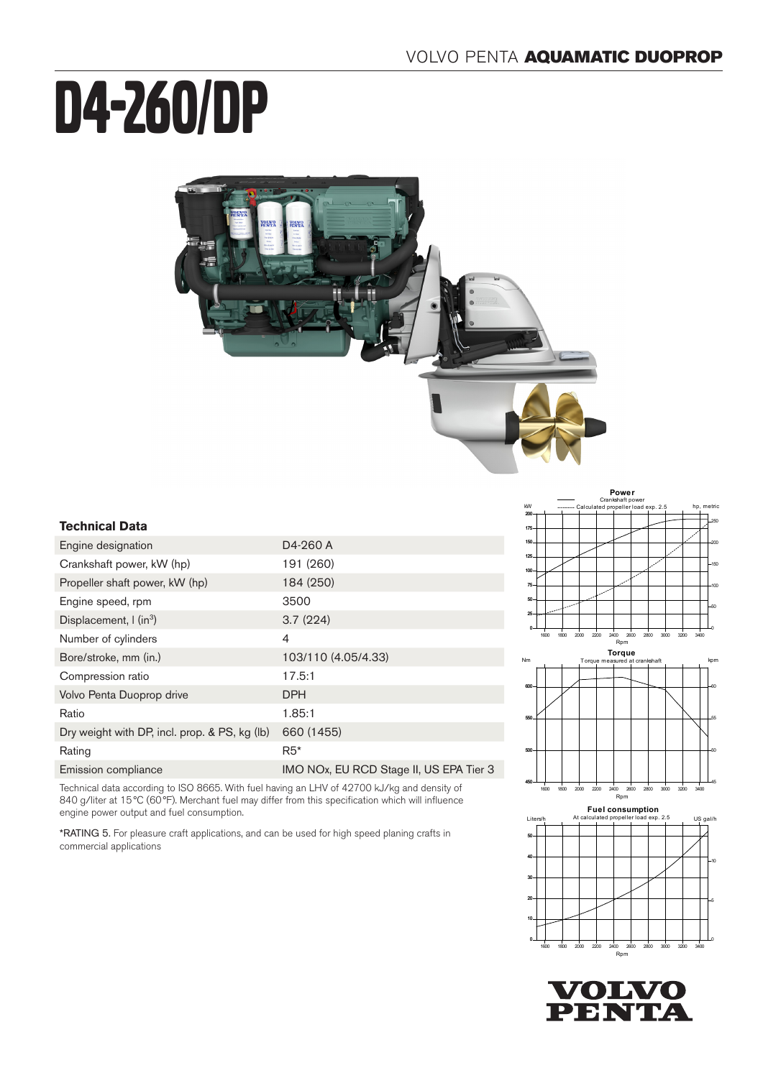# D4-260/DP



#### **Technical Data**

| Engine designation                            | D4-260 A                                |
|-----------------------------------------------|-----------------------------------------|
| Crankshaft power, kW (hp)                     | 191 (260)                               |
| Propeller shaft power, kW (hp)                | 184 (250)                               |
| Engine speed, rpm                             | 3500                                    |
| Displacement, $\int$ (in <sup>3</sup> )       | 3.7(224)                                |
| Number of cylinders                           | 4                                       |
| Bore/stroke, mm (in.)                         | 103/110 (4.05/4.33)                     |
| Compression ratio                             | 17.5:1                                  |
| Volvo Penta Duoprop drive                     | <b>DPH</b>                              |
| Ratio                                         | 1.85:1                                  |
| Dry weight with DP, incl. prop. & PS, kg (lb) | 660 (1455)                              |
| Rating                                        | $R5*$                                   |
| Emission compliance                           | IMO NOx, EU RCD Stage II, US EPA Tier 3 |

Technical data according to ISO 8665. With fuel having an LHV of 42700 kJ/kg and density of 840 g/liter at 15 °C (60 °F). Merchant fuel may differ from this specification which will influence engine power output and fuel consumption.

\*RATING 5. For pleasure craft applications, and can be used for high speed planing crafts in commercial applications